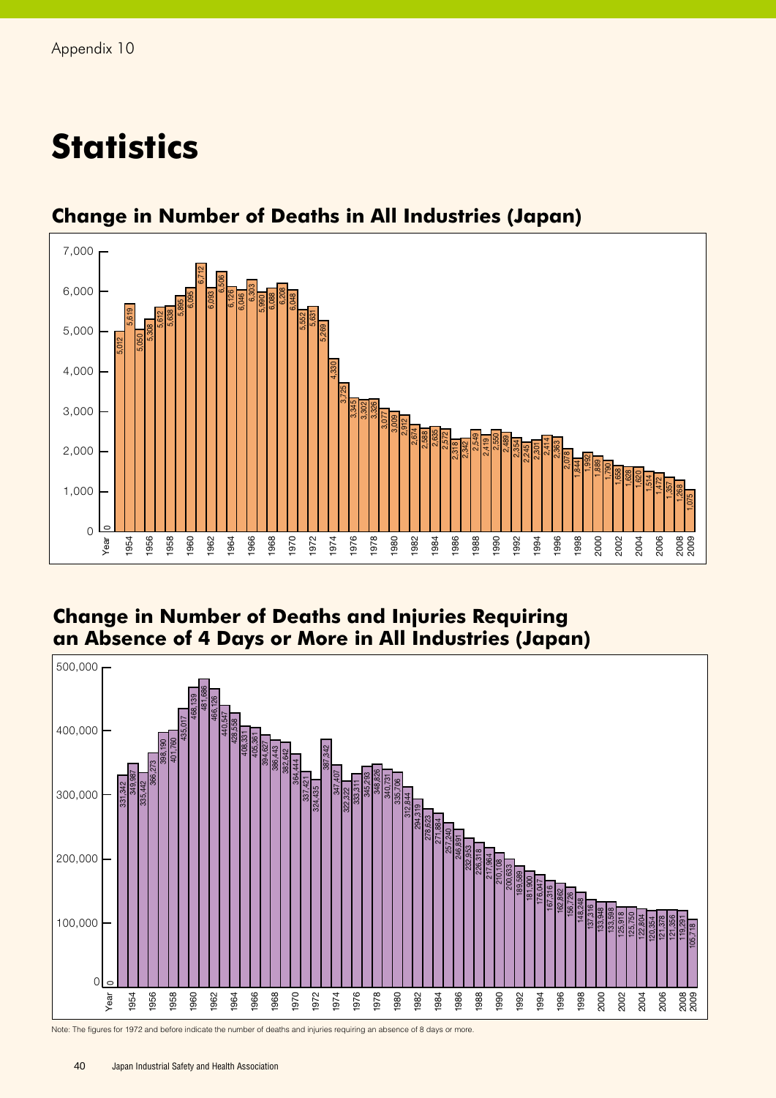## **Statistics**



## **Change in Number of Deaths in All Industries (Japan)**

## **Change in Number of Deaths and Injuries Requiring an Absence of 4 Days or More in All Industries (Japan)**



Note: The figures for 1972 and before indicate the number of deaths and injuries requiring an absence of 8 days or more.